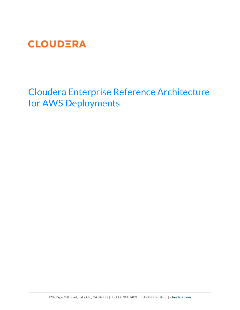

Cloudera Enterprise Reference Architecture for AWS Deployments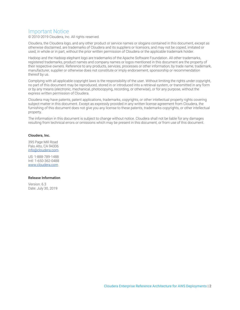## Important Notice

© 2010-2019 Cloudera, Inc. All rights reserved.

Cloudera, the Cloudera logo, and any other product or service names or slogans contained in this document, except as otherwise disclaimed, are trademarks of Cloudera and its suppliers or licensors, and may not be copied, imitated or used, in whole or in part, without the prior written permission of Cloudera or the applicable trademark holder.

Hadoop and the Hadoop elephant logo are trademarks of the Apache Software Foundation. All other trademarks, registered trademarks, product names and company names or logos mentioned in this document are the property of their respective owners. Reference to any products, services, processes or other information, by trade name, trademark, manufacturer, supplier or otherwise does not constitute or imply endorsement, sponsorship or recommendation thereof by us.

Complying with all applicable copyright laws is the responsibility of the user. Without limiting the rights under copyright, no part of this document may be reproduced, stored in or introduced into a retrieval system, or transmitted in any form or by any means (electronic, mechanical, photocopying, recording, or otherwise), or for any purpose, without the express written permission of Cloudera.

Cloudera may have patents, patent applications, trademarks, copyrights, or other intellectual property rights covering subject matter in this document. Except as expressly provided in any written license agreement from Cloudera, the furnishing of this document does not give you any license to these patents, trademarks copyrights, or other intellectual property.

The information in this document is subject to change without notice. Cloudera shall not be liable for any damages resulting from technical errors or omissions which may be present in this document, or from use of this document.

#### **Cloudera, Inc.**

395 Page Mill Road Palo Alto, CA 94306 [info@cloudera.com](mailto:info@cloudera.com)

US: 1-888-789-1488 Intl: 1-650-362-0488 [www.cloudera.com](http://www.cloudera.com/)

#### **Release Information**

Version: 6.3 Date: July 30, 2019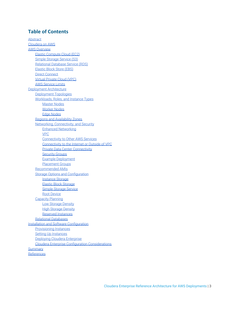## **Table of Content[s](#page-2-0)**

<span id="page-2-0"></span>[Abstract](#page-2-0) [Cloudera on AWS](#page-4-0) [AWS Overview](#page-5-0) [Elastic Compute Cloud \(EC2\)](#page-5-1) [Simple Storage Service \(S3\)](#page-5-2) [Relational Database Service \(RDS\)](#page-5-3) [Elastic Block Store \(EBS\)](#page-5-4) [Direct Connect](#page-5-5) [Virtual Private Cloud \(VPC\)](#page-5-6) [AWS Service Limits](#page-5-7) [Deployment Architecture](#page-7-0) [Deployment Topologies](#page-7-1) [Workloads, Roles, and Instance Types](#page-10-0) [Master Nodes](#page-10-1) [Worker Nodes](#page-11-0) [Edge Nodes](#page-12-0) [Regions and Availability Zones](#page-12-1) [Networking, Connectivity, and Security](#page-12-2) [Enhanced Networking](#page-12-3) [VPC](#page-12-4) [Connectivity to Other AWS Services](#page-13-0) [Connectivity to the Internet or Outside of VPC](#page-13-1) [Private Data Center Connectivity](#page-13-2) [Security Groups](#page-13-3) [Example Deployment](#page-14-0) [Placement Groups](#page-14-1) [Recommended AMIs](#page-15-0) [Storage Options and Configuration](#page-15-1) [Instance Storage](#page-15-2) [Elastic Block Storage](#page-15-3) [Simple Storage Service](#page-17-0) [Root Device](#page-17-1) [Capacity Planning](#page-17-2) **[Low Storage Density](#page-17-3)** [High Storage Density](#page-17-4) [Reserved Instances](#page-17-5) [Relational Databases](#page-18-0) [Installation and Software Configuration](#page-19-0) [Provisioning Instances](#page-19-1) [Setting Up Instances](#page-19-2) [Deploying Cloudera Enterprise](#page-19-3) [Cloudera Enterprise Configuration Considerations](#page-19-4) **[Summary](#page-20-0)** [References](#page-23-0)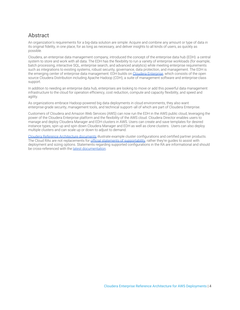# **Abstract**

An organization's requirements for a big-data solution are simple: Acquire and combine any amount or type of data in its original fidelity, in one place, for as long as necessary, and deliver insights to all kinds of users, as quickly as possible.

Cloudera, an enterprise data management company, introduced the concept of the enterprise data hub (EDH): a central system to store and work with all data. The EDH has the flexibility to run a variety of enterprise workloads (for example, batch processing, interactive SQL, enterprise search, and advanced analytics) while meeting enterprise requirements such as integrations to existing systems, robust security, governance, data protection, and management. The EDH is the emerging center of enterprise data management. EDH builds on [Cloudera Enterprise](http://cloudera.com/content/cloudera/en/products-and-services/cloudera-enterprise.html), which consists of the open source Cloudera Distribution including Apache Hadoop (CDH), a suite of management software and enterprise-class support.

In addition to needing an enterprise data hub, enterprises are looking to move or add this powerful data management infrastructure to the cloud for operation efficiency, cost reduction, compute and capacity flexibility, and speed and agility.

As organizations embrace Hadoop-powered big data deployments in cloud environments, they also want enterprise-grade security, management tools, and technical support--all of which are part of Cloudera Enterprise.

Customers of Cloudera and Amazon Web Services (AWS) can now run the EDH in the AWS public cloud, leveraging the power of the Cloudera Enterprise platform and the flexibility of the AWS cloud. Cloudera Director enables users to manage and deploy Cloudera Manager and EDH clusters in AWS. Users can create and save templates for desired instance types, spin up and spin down Cloudera Manager and EDH as well as clone clusters. Users can also deploy multiple clusters and can scale up or down to adjust to demand.

[Cloudera Reference Architecture documents](http://www.cloudera.com/documentation/other/reference-architecture.html) illustrate example cluster configurations and certified partner products. The Cloud RAs are not replacements for [official statements of supportability](https://www.cloudera.com/documentation/enterprise/release-notes/topics/rn_consolidated_pcm.html#virtual_platforms), rather they're quides to assist with deployment and sizing options. Statements regarding supported configurations in the RA are informational and should be cross-referenced with the [latest documentation.](https://www.cloudera.com/documentation.html)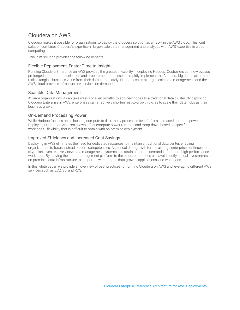# <span id="page-4-0"></span>Cloudera on AWS

Cloudera makes it possible for organizations to deploy the Cloudera solution as an EDH in the AWS cloud. This joint solution combines Cloudera's expertise in large-scale data management and analytics with AWS' expertise in cloud computing.

This joint solution provides the following benefits:

## Flexible Deployment, Faster Time to Insight

Running Cloudera Enterprise on AWS provides the greatest flexibility in deploying Hadoop. Customers can now bypass prolonged infrastructure selection and procurement processes to rapidly implement the Cloudera big data platform and realize tangible business value from their data immediately. Hadoop excels at large-scale data management, and the AWS cloud provides infrastructure services on demand.

## Scalable Data Management

At large organizations, it can take weeks or even months to add new nodes to a traditional data cluster. By deploying Cloudera Enterprise in AWS, enterprises can effectively shorten rest-to-growth cycles to scale their data hubs as their business grows.

## On-Demand Processing Power

While Hadoop focuses on collocating compute to disk, many processes benefit from increased compute power. Deploying Hadoop on Amazon allows a fast compute power ramp-up and ramp-down based on specific workloads—flexibility that is difficult to obtain with on-premise deployment.

## Improved Efficiency and Increased Cost Savings

Deploying in AWS eliminates the need for dedicated resources to maintain a traditional data center, enabling organizations to focus instead on core competencies. As annual data growth for the average enterprise continues to skyrocket, even relatively new data management systems can strain under the demands of modern high-performance workloads. By moving their data-management platform to the cloud, enterprises can avoid costly annual investments in on-premises data infrastructure to support new enterprise data growth, applications, and workloads.

In this white paper, we provide an overview of best practices for running Cloudera on AWS and leveraging different AWS services such as EC2, S3, and RDS.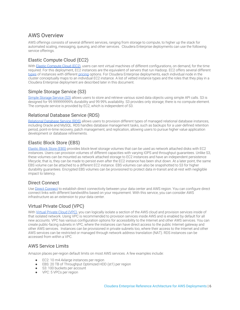# <span id="page-5-0"></span>AWS Overview

AWS offerings consists of several different services, ranging from storage to compute, to higher up the stack for automated scaling, messaging, queuing, and other services. Cloudera Enterprise deployments can use the following service offerings.

## <span id="page-5-1"></span>Elastic Compute Cloud (EC2)

With [Elastic Compute Cloud \(EC2\),](http://aws.amazon.com/ec2/) users can rent virtual machines of different configurations, on demand, for the time required. For this deployment, EC2 instances are the equivalent of servers that run Hadoop. EC2 offers several different [types](http://aws.amazon.com/ec2/instance-types/) of instances with different [pricing](http://aws.amazon.com/ec2/pricing/) options. For Cloudera Enterprise deployments, each individual node in the cluster conceptually maps to an individual EC2 instance. A list of vetted instance types and the roles that they play in a Cloudera Enterprise deployment are described later in this document.

## <span id="page-5-2"></span>Simple Storage Service (S3)

[Simple Storage Service \(S3\)](http://aws.amazon.com/s3/) allows users to store and retrieve various sized data objects using simple API calls. S3 is designed for 99.999999999% durability and 99.99% availability. S3 provides only storage; there is no compute element. The compute service is provided by EC2, which is independent of S3.

## <span id="page-5-3"></span>Relational Database Service (RDS)

[Relational Database Service \(RDS\)](http://aws.amazon.com/rds/) allows users to provision different types of managed relational database instances, including Oracle and MySQL. RDS handles database management tasks, such as backups for a user-defined retention period, point-in-time recovery, patch management, and replication, allowing users to pursue higher value application development or database refinements.

## <span id="page-5-4"></span>Elastic Block Store (EBS)

[Elastic Block Store \(EBS\)](http://aws.amazon.com/ebs/) provides block-level storage volumes that can be used as network attached disks with EC2 instances. Users can provision volumes of different capacities with varying IOPS and throughput guarantees. Unlike S3, these volumes can be mounted as network attached storage to EC2 instances and have an independent persistence lifecycle; that is, they can be made to persist even after the EC2 instance has been shut down. At a later point, the same EBS volume can be attached to a different EC2 instance. EBS volumes can also be snapshotted to S3 for higher durability guarantees. Encrypted EBS volumes can be provisioned to protect data in-transit and at-rest with negligible impact to latency.

## <span id="page-5-5"></span>Direct Connect

Use [Direct Connect](http://aws.amazon.com/directconnect/) to establish direct connectivity between your data center and AWS region. You can configure direct connect links with different bandwidths based on your requirement. With this service, you can consider AWS infrastructure as an extension to your data center.

## <span id="page-5-6"></span>Virtual Private Cloud (VPC)

With [Virtual Private Cloud \(VPC\)](http://aws.amazon.com/vpc/), you can logically isolate a section of the AWS cloud and provision services inside of that isolated network. Using VPC is recommended to provision services inside AWS and is enabled by default for all new accounts. VPC has various configuration options for accessibility to the Internet and other AWS services. You can create public-facing subnets in VPC, where the instances can have direct access to the public Internet gateway and other AWS services. Instances can be provisioned in private subnets too, where their access to the Internet and other AWS services can be restricted or managed through network address translation (NAT). RDS instances can be accessed from within a VPC.

## <span id="page-5-7"></span>AWS Service Limits

Amazon places per-region default limits on most AWS services. A few examples include:

- EC2: 10 m4.4xlarge instances per region
- EBS: 20 TB of Throughput Optimized HDD (st1) per region
- S3: 100 buckets per account
- VPC: 5 VPCs per region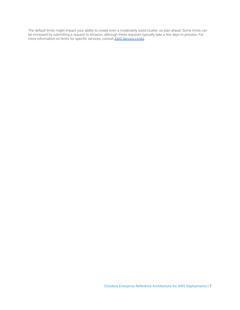The default limits might impact your ability to create even a moderately sized cluster, so plan ahead. Some limits can be increased by submitting a request to Amazon, although these requests typically take a few days to process. For more information on limits for specific services, consult <u>[AWS Service Limits](http://docs.aws.amazon.com/general/latest/gr/aws_service_limits.html)</u>.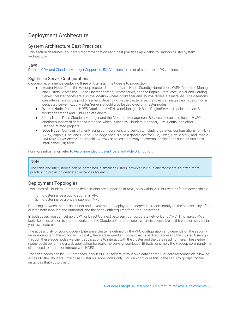# <span id="page-7-0"></span>Deployment Architecture

## System Architecture Best Practices

This section describes Cloudera's recommendations and best practices applicable to Hadoop cluster system architecture.

### Java

Refer to [CDH and Cloudera Manager Supported JDK Versions](https://www.cloudera.com/documentation/enterprise/6/release-notes/topics/rg_java_requirements.html#java_requirements) for a list of supported JDK versions.

## Right-size Server Configurations

Cloudera recommends deploying three or four machine types into production:

- Master Node. Runs the Hadoop master daemons: NameNode, Standby NameNode, YARN Resource Manager and History Server, the HBase Master daemon, Sentry server, and the Impala StateStore Server and Catalog Server. Master nodes are also the location where Zookeeper and JournalNodes are installed. The daemons can often share single pool of servers. Depending on the cluster size, the roles can instead each be run on a dedicated server. Kudu Master Servers should also be deployed on master nodes.
- Worker Node. Runs the HDFS DataNode, YARN NodeManager, HBase RegionServer, Impala impalad, Search worker daemons and Kudu Tablet Servers.
- Utility Node. Runs Cloudera Manager and the Cloudera Management Services. It can also host a MySQL (or another supported) database instance, which is used by Cloudera Manager, Hive, Sentry, and other Hadoop-related projects.
- Edge Node. Contains all client-facing configurations and services, including gateway configurations for HDFS, YARN, Impala, Hive, and HBase. The edge node is also a good place for Hue, Oozie, HiveServer2, and Impala HAProxy. HiveServer2 and Impala HAProxy serve as a gateway to external applications such as Business Intelligence (BI) tools.

For more information refer to [Recommended Cluster Hosts and Role Distribution](https://www.cloudera.com/documentation/enterprise/latest/topics/cm_ig_host_allocations.html).

### Note:

The edge and utility nodes can be combined in smaller clusters, however in cloud environments it's often more practical to provision dedicated instances for each.

## <span id="page-7-1"></span>Deployment Topologies

Two kinds of Cloudera Enterprise deployments are supported in AWS, both within VPC but with different accessibility:

- 1. Cluster inside a public subnet in VPC
- 2. Cluster inside a private subnet in VPC

Choosing between the public subnet and private subnet deployments depends predominantly on the accessibility of the cluster, both inbound and outbound, and the bandwidth required for outbound access.

In both cases, you can set up a VPN or Direct Connect between your corporate network and AWS. This makes AWS look like an extension to your network, and the Cloudera Enterprise deployment is accessible as if it were on servers in your own data center.

The accessibility of your Cloudera Enterprise cluster is defined by the VPC configuration and depends on the security requirements and the workload. Typically, there are edge/client nodes that have direct access to the cluster. Users go through these edge nodes via client applications to interact with the cluster and the data residing there. These edge nodes could be running a web application for real-time serving workloads, BI tools, or simply the Hadoop command-line client used to submit or interact with HDFS.

The edge nodes can be EC2 instances in your VPC or servers in your own data center. Cloudera recommends allowing access to the Cloudera Enterprise cluster via edge nodes only. You can configure this in the security groups for the instances that you provision.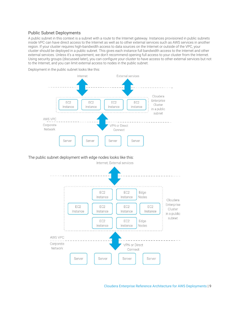## Public Subnet Deployments

A public subnet in this context is a subnet with a route to the Internet gateway. Instances provisioned in public subnets inside VPC can have direct access to the Internet as well as to other external services such as AWS services in another region. If your cluster requires high-bandwidth access to data sources on the Internet or outside of the VPC, your cluster should be deployed in a public subnet. This gives each instance full bandwidth access to the Internet and other external services. Unless it's a requirement, we don't recommend opening full access to your cluster from the Internet. Using security groups (discussed later), you can configure your cluster to have access to other external services but not to the Internet, and you can limit external access to nodes in the public subnet.



Deployment in the public subnet looks like this:

## The public subnet deployment with edge nodes looks like this:

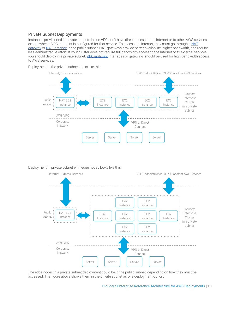## Private Subnet Deployments

Instances provisioned in private subnets inside VPC don't have direct access to the Internet or to other AWS services, except when a VPC endpoint is configured for that service. To access the Internet, they must go through a [NAT](https://docs.aws.amazon.com/AmazonVPC/latest/UserGuide/vpc-nat-gateway.html) [gateway](https://docs.aws.amazon.com/AmazonVPC/latest/UserGuide/vpc-nat-gateway.html) or [NAT instance](https://docs.aws.amazon.com/AmazonVPC/latest/UserGuide/VPC_NAT_Instance.html) in the public subnet; NAT gateways provide better availability, higher bandwidth, and require less administrative effort. If your cluster does not require full bandwidth access to the Internet or to external services, you should deploy in a private subnet. [VPC endpoint](http://docs.aws.amazon.com/AmazonVPC/latest/UserGuide/vpc-endpoints.html) interfaces or gateways should be used for high-bandwidth access to AWS services.





#### Deployment in private subnet with edge nodes looks like this:



The edge nodes in a private subnet deployment could be in the public subnet, depending on how they must be accessed. The figure above shows them in the private subnet as one deployment option.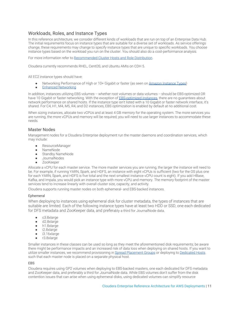## <span id="page-10-0"></span>Workloads, Roles, and Instance Types

In this reference architecture, we consider different kinds of workloads that are run on top of an Enterprise Data Hub. The initial requirements focus on instance types that are suitable for a diverse set of workloads. As service offerings change, these requirements may change to specify instance types that are unique to specific workloads. You choose instance types based on the workload you run on the cluster. You should also do a cost-performance analysis.

For more information refer to [Recommended Cluster Hosts and Role Distribution](https://www.cloudera.com/documentation/enterprise/latest/topics/cm_ig_host_allocations.html).

Cloudera currently recommends RHEL, CentOS, and Ubuntu AMIs on CDH 5.

All EC2 instance types should have:

- Networking Performance of High or 10+ Gigabit or faster (as seen on [Amazon Instance Types\)](https://aws.amazon.com/ec2/instance-types/)
- **[Enhanced Networking](http://docs.aws.amazon.com/AWSEC2/latest/UserGuide/enhanced-networking.html)**

In addition, instances utilizing EBS volumes -- whether root volumes or data volumes -- should be EBS-optimized OR have 10 Gigabit or faster networking. With the exception of **EBS-optimized instances**, there are no guarantees about network performance on shared hosts. If the instance type isn't listed with a 10 Gigabit or faster network interface, it's shared. For C4, H1, M4, M5, R4, and D2 instances, EBS optimization is enabled by default at no additional cost.

When sizing instances, allocate two vCPUs and at least 4 GB memory for the operating system. The more services you are running, the more vCPUs and memory will be required; you will need to use larger instances to accommodate these needs.

### <span id="page-10-1"></span>Master Nodes

Management nodes for a Cloudera Enterprise deployment run the master daemons and coordination services, which may include:

- ResourceManager
- NameNode
- Standby NameNode
- JournalNodes
- **ZooKeeper**

Allocate a vCPU for each master service. The more master services you are running, the larger the instance will need to be. For example, if running YARN, Spark, and HDFS, an instance with eight vCPUs is sufficient (two for the OS plus one for each YARN, Spark, and HDFS is five total and the next smallest instance vCPU count is eight). If you add HBase, Kafka, and Impala, you would pick an instance type with more vCPU and memory. The memory footprint of the master services tend to increase linearly with overall cluster size, capacity, and activity.

Cloudera supports running master nodes on both ephemeral- and EBS-backed instances.

### Ephemeral

When deploying to instances using ephemeral disk for cluster metadata, the types of instances that are suitable are limited. Each of the following instance types have at least two HDD or SSD, one each dedicated for DFS metadata and ZooKeeper data, and preferably a third for JournalNode data.

- c3.8xlarge
- d2.8xlarge
- h1.8xlarge
- i2.8xlarge
- i3.16xlarge
- r3.8xlarge

Smaller instances in these classes can be used so long as they meet the aforementioned disk requirements; be aware there might be performance impacts and an increased risk of data loss when deploying on shared hosts. If you want to utilize smaller instances, we recommend provisioning in [Spread Placement Groups](#page-14-1) or deploying to [Dedicated Hosts](https://aws.amazon.com/ec2/dedicated-hosts/) such that each master node is placed on a separate physical host.

#### EBS

Cloudera requires using GP2 volumes when deploying to EBS-backed masters, one each dedicated for DFS metadata and ZooKeeper data, and preferably a third for JournalNode data. While EBS volumes don't suffer from the disk contention issues that can arise when using ephemeral disks, using dedicated volumes can simplify resource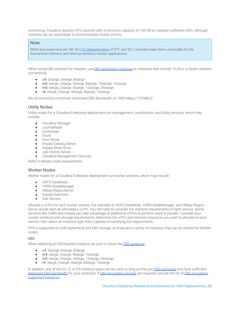monitoring. Cloudera requires GP2 volumes with a minimum capacity of 100 GB to maintain sufficient IOPs, although volumes can be sized larger to accommodate cluster activity.

### Note:

While less expensive per GB, the [I/O characteristics](http://docs.aws.amazon.com/AWSEC2/latest/UserGuide/ebs-io-characteristics.html) of ST1 and SC1 volumes make them unsuitable for the transaction-intensive and latency-sensitive master applications.

When using EBS volumes for masters, use **EBS-optimized instances or instances that include 10 Gb/s or faster network** connectivity.

- c4: 2xlarge, 4xlarge, 8xlarge
- m4: xlarge, 2xlarge, 4xlarge, 8xlarge, 10xlarge, 16xlarge
- m5: xlarge, 2xlarge, 4xlarge, 12xlarge, 24xlarge
- r4: xlarge, 2xlarge, 4xlarge, 8xlarge, 16xlarge

We recommend a minimum Dedicated EBS Bandwidth of 1000 Mbps (125 MB/s).

## Utility Nodes

Utility nodes for a Cloudera Enterprise deployment run management, coordination, and utility services, which may include:

- Cloudera Manager
- JournalNode
- ZooKeeper
- Oozie
- Hive Server
- Impala Catalog Server
- Impala State Store
- Job History Server
- Cloudera Management Services

Refer to Master node requirements.

### <span id="page-11-0"></span>Worker Nodes

Worker nodes for a Cloudera Enterprise deployment run worker services, which may include:

- HDFS DataNode
- YARN NodeManager
- HBase RegionServer
- Impala Daemons
- Solr Servers

Allocate a vCPU for each worker service. For example an HDFS DataNode, YARN NodeManager, and HBase Region Server would each be allocated a vCPU. You will need to consider the memory requirements of each service. Some services like YARN and Impala can take advantage of additional vCPUs to perform work in parallel. Consider your cluster workload and storage requirements, determine the vCPU and memory resources you wish to allocate to each service, then select an instance type that's capable of satisfying the requirements.

DFS is supported on both ephemeral and EBS storage, so there are a variety of instances that can be utilized for Worker nodes.

### **FBS**

When selecting an EBS-backed instance, be sure to follow the **EBS** quidance.

- c4: 2xlarge, 4xlarge, 8xlarge
- m4: xlarge, 2xlarge, 4xlarge, 10xlarge
- m5: xlarge, 2xlarge, 4xlarge, 12xlarge, 24xlarge
- r4: xlarge, 2xlarge, 4xlarge, 8xlarge, 16xlarge

In addition, any of the D2, I2, or R3 instance types can be used so long as they are [EBS-optimized](http://docs.aws.amazon.com/AWSEC2/latest/UserGuide/EBSOptimized.html#enable-ebs-optimization) and have sufficient [dedicated EBS bandwidth](http://docs.aws.amazon.com/AWSEC2/latest/UserGuide/EBSOptimized.html) for your workload. If [EBS encrypted volumes](http://docs.aws.amazon.com/AWSEC2/latest/UserGuide/EBSEncryption.html) are required, consult the list of [EBS encryption](http://docs.aws.amazon.com/AWSEC2/latest/UserGuide/EBSEncryption.html#EBSEncryption_supported_instances) [supported instances](http://docs.aws.amazon.com/AWSEC2/latest/UserGuide/EBSEncryption.html#EBSEncryption_supported_instances).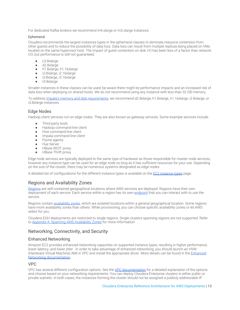For dedicated Kafka brokers we recommend m4.xlarge or m5.xlarge instances.

### Ephemeral

Cloudera recommends the largest instances types in the ephemeral classes to eliminate resource contention from other guests and to reduce the possibility of data loss. Data loss can result from multiple replicas being placed on VMs located on the same hypervisor host. The impact of guest contention on disk I/O has been less of a factor than network I/O, but performance is still not guaranteed.

- c3.8xlarge
- d2.8xlarge
- h1.8xlarge, h1.16xlarge
- i2.8xlarge, i2.16xlarge
- i3.8xlarge, i3.16xlarge
- r3.8xlarge

Smaller instances in these classes can be used; be aware there might be performance impacts and an increased risk of data loss when deploying on shared hosts. We do not recommend using any instance with less than 32 GB memory.

To address [Impala's memory and disk requirements,](http://www.cloudera.com/documentation/enterprise/latest/topics/impala_prereqs1.html#prereqs) we recommend d2.8xlarge, h1.8xlarge, h1.16xlarge, i2.8xlarge, or i3.8xlarge instances.

## <span id="page-12-0"></span>Edge Nodes

Hadoop client services run on edge nodes. They are also known as gateway services. Some example services include:

- Third-party tools
- Hadoop command-line client
- Hive command-line client
- Impala command-line client
- Flume agents
- Hue Server
- HBase REST proxy
- HBase Thrift proxy

Edge node services are typically deployed to the same type of hardware as those responsible for master node services, however any instance type can be used for an edge node so long as it has sufficient resources for your use. Depending on the size of the cluster, there may be numerous systems designated as edge nodes.

A detailed list of configurations for the different instance types is available on the [EC2 instance types](http://aws.amazon.com/ec2/instance-types/) page.

## <span id="page-12-1"></span>Regions and Availability Zones

[Regions](http://docs.aws.amazon.com/AWSEC2/latest/UserGuide/using-regions-availability-zones.html) are self-contained geographical locations where AWS services are deployed. Regions have their own deployment of each service. Each service within a region has its own [endpoint](http://docs.aws.amazon.com/general/latest/gr/rande.html) that you can interact with to use the service.

Regions contain [availability zones](http://docs.aws.amazon.com/AWSEC2/latest/UserGuide/using-regions-availability-zones.html), which are isolated locations within a general geographical location. Some regions have more availability zones than others. While provisioning, you can choose specific availability zones or let AWS select for you.

Cloudera EDH deployments are restricted to single regions. Single clusters spanning regions are not supported. Refer to [Appendix A: Spanning AWS Availability Zones](#page-21-0) for more information.

## <span id="page-12-2"></span>Networking, Connectivity, and Security

## <span id="page-12-3"></span>Enhanced Networking

Amazon EC2 provides enhanced networking capacities on supported instance types, resulting in higher performance, lower latency, and lower jitter. In order to take advantage of enhanced networking, you should launch an HVM (Hardware Virtual Machine) AMI in VPC and install the appropriate driver. More details can be found in the [Enhanced](http://docs.aws.amazon.com/AWSEC2/latest/UserGuide/enhanced-networking.html) [Networking documentation](http://docs.aws.amazon.com/AWSEC2/latest/UserGuide/enhanced-networking.html).

## <span id="page-12-4"></span>VPC

VPC has several different configuration options. See the [VPC documentation](http://docs.aws.amazon.com/AmazonVPC/latest/UserGuide/VPC_Introduction.html) for a detailed explanation of the options and choose based on your networking requirements. You can deploy Cloudera Enterprise clusters in either public or private subnets. In both cases, the instances forming the cluster should not be assigned a publicly addressable IP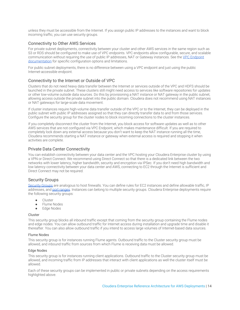unless they must be accessible from the Internet. If you assign public IP addresses to the instances and want to block incoming traffic, you can use security groups.

### <span id="page-13-0"></span>Connectivity to Other AWS Services

For private subnet deployments, connectivity between your cluster and other AWS services in the same region such as S3 or RDS should be configured to make use of VPC endpoints. VPC endpoints allow configurable, secure, and scalable communication without requiring the use of public IP addresses, NAT or Gateway instances. See the [VPC Endpoint](http://docs.aws.amazon.com/AmazonVPC/latest/UserGuide/vpc-endpoints.html) [documentation](http://docs.aws.amazon.com/AmazonVPC/latest/UserGuide/vpc-endpoints.html) for specific configuration options and limitations.

For public subnet deployments, there is no difference between using a VPC endpoint and just using the public Internet-accessible endpoint.

### <span id="page-13-1"></span>Connectivity to the Internet or Outside of VPC

Clusters that do not need heavy data transfer between the Internet or services outside of the VPC and HDFS should be launched in the private subnet. These clusters still might need access to services like software repositories for updates or other low-volume outside data sources. Do this by provisioning a NAT instance or NAT gateway in the public subnet, allowing access outside the private subnet into the public domain. Cloudera does not recommend using NAT instances or NAT gateways for large-scale data movement.

If cluster instances require high-volume data transfer outside of the VPC or to the Internet, they can be deployed in the public subnet with public IP addresses assigned so that they can directly transfer data to and from those services. Configure the security group for the cluster nodes to block incoming connections to the cluster instances.

If you completely disconnect the cluster from the Internet, you block access for software updates as well as to other AWS services that are not configured via VPC Endpoint, which makes maintenance difficult. If you are required to completely lock down any external access because you don't want to keep the NAT instance running all the time, Cloudera recommends starting a NAT instance or gateway when external access is required and stopping it when activities are complete.

#### <span id="page-13-2"></span>Private Data Center Connectivity

You can establish connectivity between your data center and the VPC hosting your Cloudera Enterprise cluster by using a VPN or Direct Connect. We recommend using Direct Connect so that there is a dedicated link between the two networks with lower latency, higher bandwidth, security and encryption via IPSec. If you don't need high bandwidth and low latency connectivity between your data center and AWS, connecting to EC2 through the Internet is sufficient and Direct Connect may not be required.

### <span id="page-13-3"></span>Security Groups

[Security Groups](http://docs.aws.amazon.com/AWSEC2/latest/UserGuide/using-network-security.html) are analogous to host firewalls. You can define rules for EC2 instances and define allowable traffic, IP addresses, and [port ranges](http://www.cloudera.com/content/cloudera/en/documentation/core/latest/topics/cdh_ig_ports_cdh5.html). Instances can belong to multiple security groups. Cloudera Enterprise deployments require the following security groups:

- Cluster
- **Flume Nodes**
- Edge Nodes

#### Cluster

This security group blocks all inbound traffic except that coming from the security group containing the Flume nodes and edge nodes. You can allow outbound traffic for Internet access during installation and upgrade time and disable it thereafter. You can also allow outbound traffic if you intend to access large volumes of Internet-based data sources.

#### Flume Nodes

This security group is for instances running Flume agents. Outbound traffic to the Cluster security group must be allowed, and inbound traffic from sources from which Flume is receiving data must be allowed.

#### Edge Nodes

This security group is for instances running client applications. Outbound traffic to the Cluster security group must be allowed, and incoming traffic from IP addresses that interact with client applications as well the cluster itself must be allowed.

Each of these security groups can be implemented in public or private subnets depending on the access requirements highlighted above.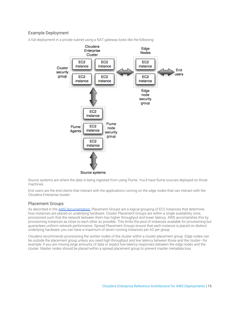## <span id="page-14-0"></span>Example Deployment



A full deployment in a private subnet using a NAT gateway looks like the following:

Source systems are where the data is being ingested from using Flume. You'll have flume sources deployed on those machines.

End users are the end clients that interact with the applications running on the edge nodes that can interact with the Cloudera Enterprise cluster.

## <span id="page-14-1"></span>Placement Groups

As described in the [AWS documentation,](http://docs.aws.amazon.com/AWSEC2/latest/UserGuide/placement-groups.html) Placement Groups are a logical grouping of EC2 instances that determine how instances are placed on underlying hardware. Cluster Placement Groups are within a single availability zone, provisioned such that the network between them has higher throughput and lower latency. AWS accomplishes this by provisioning instances as close to each other as possible. This limits the pool of instances available for provisioning but guarantees uniform network performance. Spread Placement Groups ensure that each instance is placed on distinct underlying hardware; you can have a maximum of seven running instances per AZ per group.

Cloudera recommends provisioning the worker nodes of the cluster within a cluster placement group. Edge nodes can be outside the placement group unless you need high throughput and low latency between those and the cluster—for example, if you are moving large amounts of data or expect low-latency responses between the edge nodes and the cluster. Master nodes should be placed within a spread placement group to prevent master metadata loss.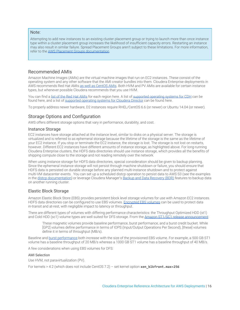### Note:

Attempting to add new instances to an existing cluster placement group or trying to launch more than once instance type within a cluster placement group increases the likelihood of insufficient capacity errors. Restarting an instance may also result in similar failure. Spread Placement Groups aren't subject to these limitations. For more information, refer to the [AWS Placement Groups documentation.](http://docs.aws.amazon.com/AWSEC2/latest/UserGuide/placement-groups.html)

## <span id="page-15-0"></span>Recommended AMIs

Amazon Machine Images (AMIs) are the virtual machine images that run on EC2 instances. These consist of the operating system and any other software that the AMI creator bundles into them. Cloudera Enterprise deployments in AWS recommends Red Hat AMIs [as well as CentOS AMIs](https://aws.amazon.com/marketplace/pp/B007ORSS8I/ref=gtw_msl_title?ie=UTF8&pf_rd_r=1576XKS85TDK64XB46CV&pf_rd_m=A33KC2ESLMUT5Y&pf_rd_t=101&pf_rd_i=awsmp-gateway-1&pf_rd_p=1568849202&pf_rd_s=right-3). Both HVM and PV AMIs are available for certain instance types, but whenever possible Cloudera recommends that you use HVM.

You can find a [list of the Red Hat AMIs](http://aws.amazon.com/partners/redhat/) for each region here. A list of [supported operating systems for CDH](https://www.cloudera.com/documentation/enterprise/6/release-notes/topics/rg_os_requirements.html#c62_supported_os) can be found here, and a list of [supported operating systems for Cloudera Director](https://www.cloudera.com/documentation/director/latest/topics/director_deployment_requirements.html#concept_fhh_ygd_nt) can be found here.

To properly address newer hardware, D2 instances require RHEL/CentOS 6.6 (or newer) or Ubuntu 14.04 (or newer).

## <span id="page-15-1"></span>Storage Options and Configuration

AWS offers different storage options that vary in performance, durability, and cost.

### <span id="page-15-2"></span>Instance Storage

EC2 instances have storage attached at the instance level, similar to disks on a physical server. The storage is virtualized and is referred to as ephemeral storage because the lifetime of the storage is the same as the lifetime of your EC2 instance. If you stop or terminate the EC2 instance, the storage is lost. The storage is not lost on restarts, however. Different EC2 instances have different amounts of instance storage, as highlighted above. For long-running Cloudera Enterprise clusters, the HDFS data directories should use instance storage, which provides all the benefits of shipping compute close to the storage and not reading remotely over the network.

When using instance storage for HDFS data directories, special consideration should be given to backup planning. Since the ephemeral instance storage will not persist through machine shutdown or failure, you should ensure that HDFS data is persisted on durable storage before any planned multi-instance shutdown and to protect against multi-VM datacenter events. You can set up a scheduled distcp operation to persist data to AWS S3 (see the examples in the distep documentation) or leverage Cloudera Manager's [Backup and Data Recovery \(BDR\)](http://www.cloudera.com/documentation/enterprise/latest/topics/cm_bdr_about.html) features to backup data on another running cluster.

## <span id="page-15-3"></span>Elastic Block Storage

Amazon Elastic Block Store (EBS) provides persistent block level storage volumes for use with Amazon EC2 instances. HDFS data directories can be configured to use EBS volumes. [Encrypted EBS volumes](http://docs.aws.amazon.com/AWSEC2/latest/UserGuide/EBSEncryption.html) can be used to protect data in-transit and at-rest, with negligible impact to latency or throughput.

There are different types of volumes with differing performance characteristics: the Throughput Optimized HDD (st1) and Cold HDD (sc1) volume types are well suited for DFS storage. From the [Amazon ST1/SC1 release announcement](https://aws.amazon.com/blogs/aws/amazon-ebs-update-new-cold-storage-and-throughput-options/):

These magnetic volumes provide baseline performance, burst performance, and a burst credit bucket. While [GP2] volumes define performance in terms of IOPS (Input/Output Operations Per Second), [these] volumes define it in terms of throughput (MB/s).

Baseline and [burst performance](https://aws.amazon.com/blogs/aws/new-ssd-backed-elastic-block-storage/) both increase with the size of the provisioned EBS volume. For example, a 500 GB ST1 volume has a baseline throughput of 20 MB/s whereas a 1000 GB ST1 volume has a baseline throughput of 40 MB/s.

A few considerations when using EBS volumes for DFS:

#### AMI Selection

Use HVM, not paravirtualization (PV).

For kernels > 4.2 (which does not include CentOS 7.2) – set kernel option **xen\_blkfront.max=256**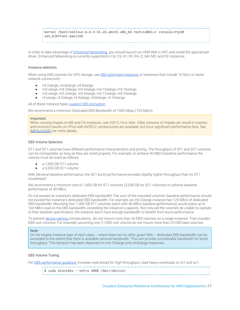kernel /boot/vmlinuz-4.4.5-15.26.amzn1.x86\_64 root=LABEL=/ console=ttyS0 xen\_blkfront.max=256

In order to take advantage of [Enhanced Networking,](http://docs.aws.amazon.com/AWSEC2/latest/UserGuide/enhanced-networking.html) you should launch an HVM AMI in VPC and install the appropriate driver. Enhanced Networking is currently supported in C4, C3, H1, R3, R4, I2, M4, M5, and D2 instances.

#### Instance selection

When using EBS volumes for DFS storage, use **EBS-optimized instances or instances that include 10 Gb/s or faster** network connectivity.

- c4.2xlarge, c4.4xlarge, c4.8xlarge
- m4.xlarge, m4.2xlarge, m4.4xlarge, m4.10xlarge, m4.16xlarge
- m5.xlarge, m5.2xlarge, m5.4xlarge, m5.12xlarge, m5.24xlarge
- r4.xlarge, r4.2xlarge, r4.4xlarge, r4.8xlarge, r4.16xlarge

All of these instance types [support EBS encryption](http://docs.aws.amazon.com/AWSEC2/latest/UserGuide/EBSEncryption.html#EBSEncryption_supported_instances).

We recommend a minimum Dedicated EBS Bandwidth of 1000 Mbps (125 MB/s).

#### Important:

When running Impala on M5 and C5 instances, use CDH 5.14 or later. Older versions of Impala can result in crashes and incorrect results on CPUs with AVX512; workarounds are available, but incur significant performance loss. See [IMPALA-6291](https://issues.apache.org/jira/browse/IMPALA-6291) for more details.

#### EBS Volume Selection

ST1 and SC1 volumes have different performance characteristics and pricing. The throughput of ST1 and SC1 volumes can be comparable, so long as they are sized properly. For example, to achieve 40 MB/s baseline performance the volume must be sized as follows:

- a 1,000 GB ST1 volume
- a 3,200 GB SC1 volume

With identical baseline performance, the SC1 burst performance provides slightly higher throughput than its ST1 counterpart.

We recommend a minimum size of 1,000 GB for ST1 volumes (3,200 GB for SC1 volumes) to achieve baseline performance of 40 MB/s.

Do not exceed an instance's dedicated EBS bandwidth! The sum of the mounted volumes' baseline performance should not exceed the instance's dedicated EBS bandwidth. For example, an m4.2xlarge instance has 125 MB/s of dedicated EBS bandwidth. Mounting four 1,000 GB ST1 volumes (each with 40 MB/s baseline performance) would place up to 160 MB/s load on the EBS bandwidth, exceeding the instance's capacity. Not only will the volumes be unable to operate to their baseline specification, the instance won't have enough bandwidth to benefit from burst performance.

To prevent [device naming](https://docs.aws.amazon.com/AWSEC2/latest/UserGuide/device_naming.html) complications, do not mount more than 26 EBS volumes on a single instance. That includes EBS root volumes. For example, assuming one (1) EBS root volume do not mount more than 25 EBS data volumes.

#### Note:

On the largest instance type of each class -- where there are no other guest VMs -- dedicated EBS bandwidth can be exceeded to the extent that there is available network bandwidth. This can provide considerable bandwidth for burst throughput. This behavior has been observed on m4.10xlarge and c4.8xlarge instances.

#### EBS Volume Tuning

Per EBS performance quidance, increase read-ahead for high-throughput, read-heavy workloads on st1 and sc1:

| \$ sudo blockdev --setra 2048 /dev/ <device></device> |
|-------------------------------------------------------|
|-------------------------------------------------------|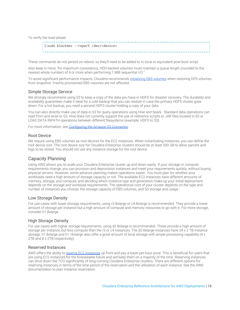To verify the read-ahead:

|  | $\frac{1}{2}$ \$ sudo blockdev --report /dev/ <device></device> |
|--|-----------------------------------------------------------------|
|--|-----------------------------------------------------------------|

These commands do not persist on reboot, so they'll need to be added to rc.local or equivalent post-boot script.

Also keep in mind, "for maximum consistency, HDD-backed volumes must maintain a queue length (rounded to the nearest whole number) of 4 or more when performing 1 MiB sequential I/O."

To avoid significant performance impacts, Cloudera recommends [initializing EBS volumes](http://docs.aws.amazon.com/AWSEC2/latest/UserGuide/ebs-initialize.html) when restoring DFS volumes from snapshot. Freshly provisioned EBS volumes are not affected.

#### <span id="page-17-0"></span>Simple Storage Service

We strongly recommend using S3 to keep a copy of the data you have in HDFS for disaster recovery. The durability and availability guarantees make it ideal for a cold backup that you can restore in case the primary HDFS cluster goes down. For a hot backup, you need a second HDFS cluster holding a copy of your data.

You can also directly make use of data in S3 for query operations using Hive and Spark. Standard data operations can read from and write to S3. Hive does not currently support the use of reference scripts or JAR files located in S3 or LOAD DATA INPATH operations between different filesystems (example: HDFS to S3).

For more information, see [Configuring the Amazon S3 Connector.](https://www.cloudera.com/documentation/enterprise/6/latest/topics/admin_s3_config.html)

### <span id="page-17-1"></span>Root Device

We require using EBS volumes as root devices for the EC2 instances. When instantiating instances, you can define the root device size. The root device size for Cloudera Enterprise clusters should be at least 500 GB to allow parcels and logs to be stored. You should not use any instance storage for the root device.

### <span id="page-17-2"></span>Capacity Planning

Using AWS allows you to scale your Cloudera Enterprise cluster up and down easily. If your storage or compute requirements change, you can provision and deprovision instances and meet your requirements quickly, without buying physical servers. However, some advance planning makes operations easier. You must plan for whether your workloads need a high amount of storage capacity or not. The available EC2 instances have different amounts of memory, storage, and compute, and deciding which instance type and generation make up your initial deployment depends on the storage and workload requirements. The operational cost of your cluster depends on the type and number of instances you choose, the storage capacity of EBS volumes, and S3 storage and usage.

#### <span id="page-17-3"></span>Low Storage Density

For use cases with lower storage requirements, using r3.8xlarge or c4.8xlarge is recommended. They provide a lower amount of storage per instance but a high amount of compute and memory resources to go with it. For more storage, consider h1.8xlarge.

### <span id="page-17-4"></span>High Storage Density

For use cases with higher storage requirements, using d2.8xlarge is recommended. These provide a high amount of storage per instance, but less compute than the r3 or c4 instances. The d2.8xlarge instances have 24 x 2 TB instance storage. h1.8xlarge and h1.16xlarge also offer a good amount of local storage with ample processing capability (4 x 2TB and 8 x 2TB respectively).

### <span id="page-17-5"></span>Reserved Instances

AWS offers the ability to [reserve EC2 instances](http://aws.amazon.com/ec2/reserved-instances/) up front and pay a lower per-hour price. This is beneficial for users that are using EC2 instances for the foreseeable future and will keep them on a majority of the time. Reserving instances can drive down the TCO significantly of long-running Cloudera Enterprise clusters. There are different options for reserving instances in terms of the time period of the reservation and the utilization of each instance. See the AWS documentation to plan instance reservation.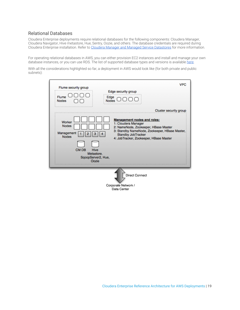## <span id="page-18-0"></span>Relational Databases

Cloudera Enterprise deployments require relational databases for the following components: Cloudera Manager, Cloudera Navigator, Hive metastore, Hue, Sentry, Oozie, and others. The database credentials are required during Cloudera Enterprise installation. Refer to [Cloudera Manager and Managed Service Datastores](https://www.cloudera.com/documentation/enterprise/latest/topics/cm_ig_installing_configuring_dbs.html) for more information.

For operating relational databases in AWS, you can either provision EC2 instances and install and manage your own database instances, or you can use RDS. The list of supported database types and versions is available [here](http://www.cloudera.com/documentation/enterprise/release-notes/topics/rn_consolidated_pcm.html#cdh_cm_supported_db).

With all the considerations highlighted so far, a deployment in AWS would look like (for both private and public subnets):

| Flume security group<br>Flume<br>Edge<br>Nodes<br><b>Nodes</b>                                              | <b>VPC</b><br>Edge security group<br>חחר                                                                                                                                                                           |
|-------------------------------------------------------------------------------------------------------------|--------------------------------------------------------------------------------------------------------------------------------------------------------------------------------------------------------------------|
|                                                                                                             | Cluster security group                                                                                                                                                                                             |
| Worker<br>Nodes<br>Management<br><b>Nodes</b><br>CM DB<br>Hive<br>Metastore.<br>SqoopServer2, Hue,<br>Oozie | <b>Management nodes and roles:</b><br>1: Cloudera Manager<br>2: NameNode, Zookeeper, HBase Master<br>3: Standby NameNode, Zookeeper, HBase Master,<br>Standby JobTracker<br>4: JobTracker, Zookeeper, HBase Master |
|                                                                                                             | <b>Direct Connect</b><br>Corporate Network /                                                                                                                                                                       |
|                                                                                                             | Data Center                                                                                                                                                                                                        |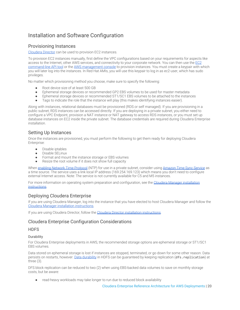# <span id="page-19-0"></span>Installation and Software Configuration

## <span id="page-19-1"></span>Provisioning Instances

[Cloudera Director](http://www.cloudera.com/content/cloudera/en/documentation/cloudera-director/latest/topics/director_intro.html) can be used to provision EC2 instances.

To provision EC2 instances manually, first define the VPC configurations based on your requirements for aspects like access to the Internet, other AWS services, and connectivity to your corporate network. You can then use the [EC2](https://aws.amazon.com/developertools) [command-line API tool](https://aws.amazon.com/developertools) or the [AWS management console](http://aws.amazon.com/console/) to provision instances. You must create a keypair with which you will later log into the instances. In Red Hat AMIs, you will use this keypair to log in as ec2-user, which has sudo privileges.

No matter which provisioning method you choose, make sure to specify the following:

- Root device size of at least 500 GB
- Ephemeral storage devices or recommended GP2 EBS volumes to be used for master metadata
- Ephemeral storage devices or recommended ST1/SC1 EBS volumes to be attached to the instances
- Tags to indicate the role that the instance will play (this makes identifying instances easier).

Along with instances, relational databases must be provisioned (RDS or self managed). If you are provisioning in a public subnet, RDS instances can be accessed directly. If you are deploying in a private subnet, you either need to configure a VPC Endpoint, provision a NAT instance or NAT gateway to access RDS instances, or you must set up database instances on EC2 inside the private subnet. The database credentials are required during Cloudera Enterprise installation.

## <span id="page-19-2"></span>Setting Up Instances

Once the instances are provisioned, you must perform the following to get them ready for deploying Cloudera Enterprise:

- Disable iptables
- Disable SELinux
- Format and mount the instance storage or EBS volumes
- Resize the root volume if it does not show full capacity

When [enabling Network Time Protocol](https://www.cloudera.com/documentation/enterprise/latest/topics/install_cdh_enable_ntp.html) (NTP) for use in a private subnet, consider using [Amazon Time Sync Service](https://aws.amazon.com/blogs/aws/keeping-time-with-amazon-time-sync-service/) as a time source. The service uses a link local IP address (169.254.169.123) which means you don't need to configure external Internet access. Note: The service is not currently available for C5 and M5 instances.

For more information on operating system preparation and configuration, see the [Cloudera Manager installation](http://www.cloudera.com/content/cloudera/en/documentation.html#ClouderaManager) [instructions](http://www.cloudera.com/content/cloudera/en/documentation.html#ClouderaManager).

## <span id="page-19-3"></span>Deploying Cloudera Enterprise

If you are using Cloudera Manager, log into the instance that you have elected to host Cloudera Manager and follow the [Cloudera Manager installation instructions](http://www.cloudera.com/content/cloudera/en/documentation.html#ClouderaManager).

If you are using Cloudera Director, follow the [Cloudera Director installation instructions](http://www.cloudera.com/content/cloudera/en/documentation/cloudera-director/latest/topics/director_intro.html).

## <span id="page-19-4"></span>Cloudera Enterprise Configuration Considerations

## **HDFS**

### **Durability**

For Cloudera Enterprise deployments in AWS, the recommended storage options are ephemeral storage or ST1/SC1 EBS volumes.

Data stored on ephemeral storage is lost if instances are stopped, terminated, or go down for some other reason. Data persists on restarts, however. [Data durability](https://www.cloudera.com/documentation/enterprise/6/latest/topics/admin_hdfs_datadurability.html) in HDFS can be quaranteed by keeping replication (dfs.replication) at three (3).

DFS block replication can be reduced to two (2) when using EBS-backed data volumes to save on monthly storage costs, but be aware:

read-heavy workloads may take longer to run due to reduced block availability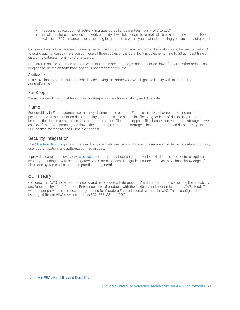- reducing replica count effectively migrates durability guarantees from HDFS to EBS<sup>1</sup>
- smaller instances have less network capacity; it will take longer to re-replicate blocks in the event of an EBS volume or EC2 instance failure, meaning longer periods where you're at-risk of losing your last copy of a block

Cloudera does not recommend lowering the replication factor. A persistent copy of all data should be maintained in S3 to guard against cases where you can lose all three copies of the data. Do this by either writing to S3 at ingest time or distcp-ing datasets from HDFS afterwards.

Data stored on EBS volumes persists when instances are stopped, terminated, or go down for some other reason, so long as the "delete on terminate" option is not set for the volume.

### Availability

HDFS availability can be accomplished by deploying the NameNode with high availability with at least three JournalNodes.

## ZooKeeper

We recommend running at least three ZooKeeper servers for availability and durability.

## Flume

For durability in Flume agents, use memory channel or file channel. Flume's memory channel offers increased performance at the cost of no data durability guarantees. File channels offer a higher level of durability guarantee because the data is persisted on disk in the form of files. Cloudera supports file channels on ephemeral storage as well as EBS. If the EC2 instance goes down, the data on the ephemeral storage is lost. For guaranteed data delivery, use EBS-backed storage for the Flume file channel.

## Security Integration

The [Cloudera Security](https://www.cloudera.com/documentation/enterprise/latest/topics/security.html) guide is intended for system administrators who want to secure a cluster using data encryption, user authentication, and authorization techniques.

It provides conceptual overviews and [how-to](https://www.cloudera.com/documentation/enterprise/latest/topics/sg_how_tos_intro.html#security_howto_guides) information about setting up various Hadoop components for optimal security, including how to setup a gateway to restrict access. The guide assumes that you have basic knowledge of Linux and systems administration practices, in general.

# <span id="page-20-0"></span>Summary

Cloudera and AWS allow users to deploy and use Cloudera Enterprise on AWS infrastructure, combining the scalability and functionality of the Cloudera Enterprise suite of products with the flexibility and economics of the AWS cloud. This white paper provided reference configurations for Cloudera Enterprise deployments in AWS. These configurations leverage different AWS services such as EC2, EBS, S3, and RDS.

<sup>&</sup>lt;sup>1</sup> [Amazon EBS Availability and Durability](https://aws.amazon.com/ebs/details/#AvailabilityandDurability)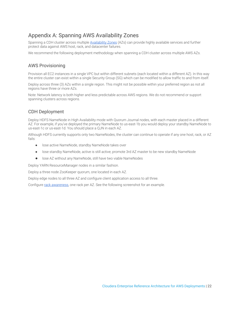# <span id="page-21-0"></span>Appendix A: Spanning AWS Availability Zones

Spanning a CDH cluster across multiple [Availability Zones](http://docs.aws.amazon.com/AWSEC2/latest/UserGuide/using-regions-availability-zones.html) (AZs) can provide highly available services and further protect data against AWS host, rack, and datacenter failures.

We recommend the following deployment methodology when spanning a CDH cluster across multiple AWS AZs.

## AWS Provisioning

Provision all EC2 instances in a single VPC but within different subnets (each located within a different AZ). In this way the entire cluster can exist within a single Security Group (SG) which can be modified to allow traffic to and from itself.

Deploy across three (3) AZs within a single region. This might not be possible within your preferred region as not all regions have three or more AZs.

Note: Network latency is both higher and less predictable across AWS regions. We do not recommend or support spanning clusters across regions.

## CDH Deployment

Deploy HDFS NameNode in High Availability mode with Quorum Journal nodes, with each master placed in a different AZ. For example, if you've deployed the primary NameNode to us-east-1b you would deploy your standby NameNode to us-east-1c or us-east-1d. You should place a QJN in each AZ.

Although HDFS currently supports only two NameNodes, the cluster can continue to operate if any one host, rack, or AZ fails:

- lose active NameNode, standby NameNode takes over
- lose standby NameNode, active is still active; promote 3rd AZ master to be new standby NameNode
- lose AZ without any NameNode, still have two viable NameNodes

Deploy YARN ResourceManager nodes in a similar fashion.

Deploy a three node ZooKeeper quorum, one located in each AZ.

Deploy edge nodes to all three AZ and configure client application access to all three.

Configure [rack awareness,](https://www.cloudera.com/documentation/enterprise/latest/topics/cm_mc_specify_rack.html) one rack per AZ. See the following screenshot for an example.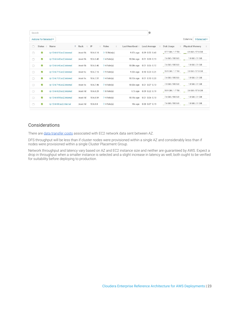| Search                 |           |                           |   |          |           |          |                     |                  |  | $\odot$              |          |                    |                    |                        |                    |  |
|------------------------|-----------|---------------------------|---|----------|-----------|----------|---------------------|------------------|--|----------------------|----------|--------------------|--------------------|------------------------|--------------------|--|
| Actions for Selected * |           |                           |   |          |           |          |                     |                  |  |                      | Columns: | 9 Selected -       |                    |                        |                    |  |
| n                      | Status ÷  | Name                      | ÷ | Rack     | $\div$ IP | $\Delta$ | Roles<br>÷          | Last Heartbeat # |  | Load Average         | ÷        | Disk Usage         | ÷                  | <b>Physical Memory</b> |                    |  |
| n                      | O         | ip-10-6-6-16.ec2.internal |   | /east-1b | 10.6.6.16 |          | $\geq 10$ Role(s)   | 9.37s ago        |  | $0.29$ $0.52$ $0.40$ |          | 97.7 GiB / 1.7 TiB | 6.9 GiB / 57.8 GiB |                        |                    |  |
| Ω                      | $\bullet$ | ip-10-6-6-40.ec2.internal |   | /east-1b | 10.6.6.40 |          | $\geq 4$ Role(s)    | 10.04s ago       |  | $0.01$ $0.08$ $0.13$ |          | 7.6 GiB / 500 GiB  |                    | 1.8 GiB / 31 GiB       |                    |  |
| □                      | O         | ip-10-6-6-46.ec2.internal |   | /east-1b | 10.6.6.46 |          | $\geq 4$ Role(s)    | 10.08s ago       |  | $0.01$ $0.06$ $0.12$ |          | 7.6 GiB / 500 GiB  |                    |                        | 1.8 GiB / 31 GiB   |  |
| Ω                      | $\bullet$ | ip-10-6-7-16.ec2.internal |   | /east-1c | 10.6.7.16 |          | $9 \text{ Role(s)}$ | $9.32s$ ago      |  | $0.10$ $0.23$ $0.21$ |          | 95.9 GiB / 1.7 TiB |                    |                        | 3.8 GiB / 57.8 GiB |  |
| Ω                      | Ø         | ip-10-6-7-31.ec2.internal |   | /east-1c | 10.6.7.31 |          | $\geq 4$ Role(s)    | 10.13s ago       |  | $0.01$ $0.10$ $0.20$ |          | 7.6 GiB / 500 GiB  |                    |                        | 1.8 GiB / 31 GiB   |  |
| Ω                      | O         | ip-10-6-7-46.ec2.internal |   | /east-1c | 10.6.7.46 |          | $\geq 4$ Role(s)    | 10.03s ago       |  | $0.01$ $0.07$ $0.13$ |          | 7.5 GiB / 500 GiB  |                    |                        | 1.8 GiB / 31 GiB   |  |
| Ω                      | $\bullet$ | ip-10-6-8-29.ec2.internal |   | /east-1d | 10.6.8.29 |          | $\geq 8$ Role(s)    | $9.7s$ ago       |  | 0.09 0.22 0.19       |          | 95.9 GiB / 1.7 TiB |                    |                        | 3.6 GiB / 57.8 GiB |  |
| $\Box$                 | $\bullet$ | ip-10-6-8-54.ec2.internal |   | /east-1d | 10.6.8.54 |          | $\geq 4$ Role(s)    | 10.15s ago       |  | $0.01$ $0.06$ $0.13$ |          | 7.6 GiB / 500 GiB  |                    |                        | 1.8 GiB / 31 GiB   |  |
| O                      | $\bullet$ | ip-10-6-8-8.ec2.internal  |   | /east-1d | 10.6.8.8  |          | $\geq 4$ Role(s)    | 10s ago          |  | $0.00$ $0.07$ $0.15$ |          | 7.6 GiB / 500 GiB  |                    |                        | 1.8 GiB / 31 GiB   |  |

## **Considerations**

There are [data transfer costs](https://aws.amazon.com/ec2/pricing/on-demand/#Data_Transfer) associated with EC2 network data sent between AZ.

DFS throughput will be less than if cluster nodes were provisioned within a single AZ and considerably less than if nodes were provisioned within a single Cluster Placement Group.

Network throughput and latency vary based on AZ and EC2 instance size and neither are guaranteed by AWS. Expect a drop in throughput when a smaller instance is selected and a slight increase in latency as well; both ought to be verified for suitability before deploying to production.